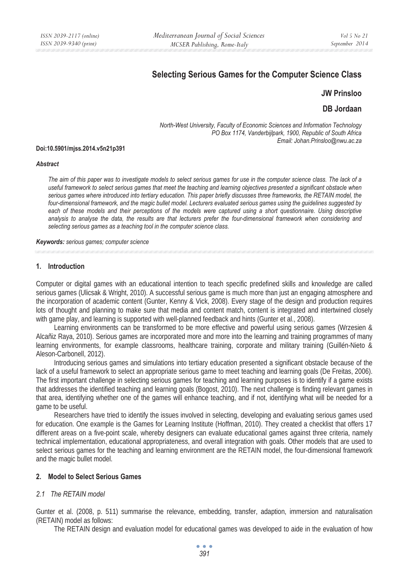# **Selecting Serious Games for the Computer Science Class**

### **JW Prinsloo**

### **DB Jordaan**

*North-West University, Faculty of Economic Sciences and Information Technology PO Box 1174, Vanderbijlpark, 1900, Republic of South Africa Email: Johan.Prinsloo@nwu.ac.za* 

#### **Doi:10.5901/mjss.2014.v5n21p391**

#### *Abstract*

*The aim of this paper was to investigate models to select serious games for use in the computer science class. The lack of a useful framework to select serious games that meet the teaching and learning objectives presented a significant obstacle when serious games where introduced into tertiary education. This paper briefly discusses three frameworks, the RETAIN model, the*  four-dimensional framework, and the magic bullet model. Lecturers evaluated serious games using the guidelines suggested by each of these models and their perceptions of the models were captured using a short questionnaire. Using descriptive *analysis to analyse the data, the results are that lecturers prefer the four-dimensional framework when considering and selecting serious games as a teaching tool in the computer science class.* 

#### *Keywords: serious games; computer science*

### **1. Introduction**

Computer or digital games with an educational intention to teach specific predefined skills and knowledge are called serious games (Ulicsak & Wright, 2010). A successful serious game is much more than just an engaging atmosphere and the incorporation of academic content (Gunter, Kenny & Vick, 2008). Every stage of the design and production requires lots of thought and planning to make sure that media and content match, content is integrated and intertwined closely with game play, and learning is supported with well-planned feedback and hints (Gunter et al., 2008).

Learning environments can be transformed to be more effective and powerful using serious games (Wrzesien & Alcañiz Raya, 2010). Serious games are incorporated more and more into the learning and training programmes of many learning environments, for example classrooms, healthcare training, corporate and military training (Guillén-Nieto & Aleson-Carbonell, 2012).

Introducing serious games and simulations into tertiary education presented a significant obstacle because of the lack of a useful framework to select an appropriate serious game to meet teaching and learning goals (De Freitas, 2006). The first important challenge in selecting serious games for teaching and learning purposes is to identify if a game exists that addresses the identified teaching and learning goals (Bogost, 2010). The next challenge is finding relevant games in that area, identifying whether one of the games will enhance teaching, and if not, identifying what will be needed for a game to be useful.

Researchers have tried to identify the issues involved in selecting, developing and evaluating serious games used for education. One example is the Games for Learning Institute (Hoffman, 2010). They created a checklist that offers 17 different areas on a five-point scale, whereby designers can evaluate educational games against three criteria, namely technical implementation, educational appropriateness, and overall integration with goals. Other models that are used to select serious games for the teaching and learning environment are the RETAIN model, the four-dimensional framework and the magic bullet model.

### **2. Model to Select Serious Games**

### *2.1 The RETAIN model*

Gunter et al. (2008, p. 511) summarise the relevance, embedding, transfer, adaption, immersion and naturalisation (RETAIN) model as follows:

The RETAIN design and evaluation model for educational games was developed to aide in the evaluation of how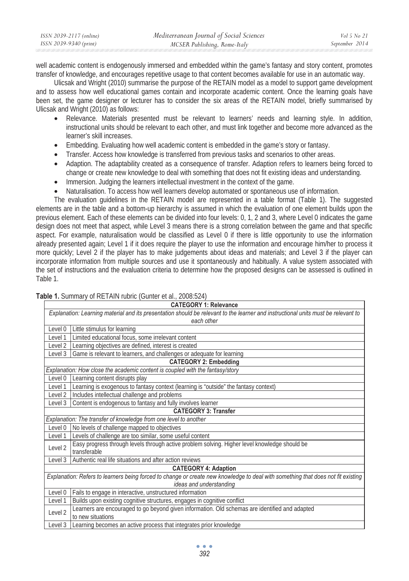| ISSN 2039-2117 (online) | Mediterranean Journal of Social Sciences | Vol 5 No 21    |
|-------------------------|------------------------------------------|----------------|
| ISSN 2039-9340 (print)  | MCSER Publishing, Rome-Italy             | September 2014 |

well academic content is endogenously immersed and embedded within the game's fantasy and story content, promotes transfer of knowledge, and encourages repetitive usage to that content becomes available for use in an automatic way.

Ulicsak and Wright (2010) summarise the purpose of the RETAIN model as a model to support game development and to assess how well educational games contain and incorporate academic content. Once the learning goals have been set, the game designer or lecturer has to consider the six areas of the RETAIN model, briefly summarised by Ulicsak and Wright (2010) as follows:

- Relevance. Materials presented must be relevant to learners' needs and learning style. In addition, instructional units should be relevant to each other, and must link together and become more advanced as the learner's skill increases.
- Embedding. Evaluating how well academic content is embedded in the game's story or fantasy.
- Transfer. Access how knowledge is transferred from previous tasks and scenarios to other areas.
- Adaption. The adaptability created as a consequence of transfer. Adaption refers to learners being forced to change or create new knowledge to deal with something that does not fit existing ideas and understanding.
- Immersion. Judging the learners intellectual investment in the context of the game.
- Naturalisation. To access how well learners develop automated or spontaneous use of information.

The evaluation guidelines in the RETAIN model are represented in a table format (Table 1). The suggested elements are in the table and a bottom-up hierarchy is assumed in which the evaluation of one element builds upon the previous element. Each of these elements can be divided into four levels: 0, 1, 2 and 3, where Level 0 indicates the game design does not meet that aspect, while Level 3 means there is a strong correlation between the game and that specific aspect. For example, naturalisation would be classified as Level 0 if there is little opportunity to use the information already presented again; Level 1 if it does require the player to use the information and encourage him/her to process it more quickly; Level 2 if the player has to make judgements about ideas and materials; and Level 3 if the player can incorporate information from multiple sources and use it spontaneously and habitually. A value system associated with the set of instructions and the evaluation criteria to determine how the proposed designs can be assessed is outlined in Table 1.

| Table 1. Summary of RETAIN rubric (Gunter et al., 2008:524) |  |
|-------------------------------------------------------------|--|
|-------------------------------------------------------------|--|

|                    | <b>CATEGORY 1: Relevance</b>                                                                                                                    |  |  |
|--------------------|-------------------------------------------------------------------------------------------------------------------------------------------------|--|--|
|                    | Explanation: Learning material and its presentation should be relevant to the learner and instructional units must be relevant to<br>each other |  |  |
| Level 0            | Little stimulus for learning                                                                                                                    |  |  |
| evel 1             | Limited educational focus, some irrelevant content                                                                                              |  |  |
| Level 2            | Learning objectives are defined, interest is created                                                                                            |  |  |
| Level 3            | Game is relevant to learners, and challenges or adequate for learning                                                                           |  |  |
|                    | <b>CATEGORY 2: Embedding</b>                                                                                                                    |  |  |
|                    | Explanation: How close the academic content is coupled with the fantasy/story                                                                   |  |  |
| Level 0            | Learning content disrupts play                                                                                                                  |  |  |
| Level 1            | Learning is exogenous to fantasy context (learning is "outside" the fantasy context)                                                            |  |  |
| Level 2            | Includes intellectual challenge and problems                                                                                                    |  |  |
| Level 3            | Content is endogenous to fantasy and fully involves learner                                                                                     |  |  |
|                    | <b>CATEGORY 3: Transfer</b>                                                                                                                     |  |  |
|                    | Explanation: The transfer of knowledge from one level to another                                                                                |  |  |
| Level 0            | No levels of challenge mapped to objectives                                                                                                     |  |  |
| Level 1            | Levels of challenge are too similar, some useful content                                                                                        |  |  |
| Level <sub>2</sub> | Easy progress through levels through active problem solving. Higher level knowledge should be<br>transferable                                   |  |  |
| Level 3            | Authentic real life situations and after action reviews                                                                                         |  |  |
|                    | <b>CATEGORY 4: Adaption</b>                                                                                                                     |  |  |
|                    | Explanation: Refers to learners being forced to change or create new knowledge to deal with something that does not fit existing                |  |  |
|                    | ideas and understanding                                                                                                                         |  |  |
| Level 0            | Fails to engage in interactive, unstructured information                                                                                        |  |  |
| Level 1            | Builds upon existing cognitive structures, engages in cognitive conflict                                                                        |  |  |
| Level 2            | Learners are encouraged to go beyond given information. Old schemas are identified and adapted<br>to new situations                             |  |  |
| Level 3            | Learning becomes an active process that integrates prior knowledge                                                                              |  |  |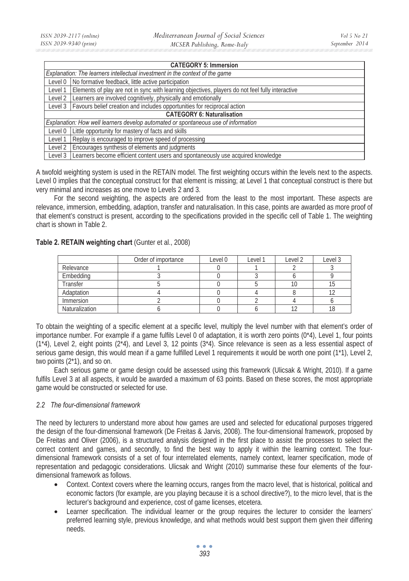| <b>CATEGORY 5: Immersion</b>      |                                                                                                  |  |  |
|-----------------------------------|--------------------------------------------------------------------------------------------------|--|--|
|                                   | Explanation: The learners intellectual investment in the context of the game                     |  |  |
| Level 0                           | No formative feedback, little active participation                                               |  |  |
| Level 1                           | Elements of play are not in sync with learning objectives, players do not feel fully interactive |  |  |
| Level 2                           | Learners are involved cognitively, physically and emotionally                                    |  |  |
| Level 3                           | Favours belief creation and includes opportunities for reciprocal action                         |  |  |
| <b>CATEGORY 6: Naturalisation</b> |                                                                                                  |  |  |
|                                   | Explanation: How well learners develop automated or spontaneous use of information               |  |  |
| Level 0                           | Little opportunity for mastery of facts and skills                                               |  |  |
| Level 1                           | Replay is encouraged to improve speed of processing                                              |  |  |
| Level 2                           | Encourages synthesis of elements and judgments                                                   |  |  |
| Level 3                           | Learners become efficient content users and spontaneously use acquired knowledge                 |  |  |

A twofold weighting system is used in the RETAIN model. The first weighting occurs within the levels next to the aspects. Level 0 implies that the conceptual construct for that element is missing; at Level 1 that conceptual construct is there but very minimal and increases as one move to Levels 2 and 3.

For the second weighting, the aspects are ordered from the least to the most important. These aspects are relevance, immersion, embedding, adaption, transfer and naturalisation. In this case, points are awarded as more proof of that element's construct is present, according to the specifications provided in the specific cell of Table 1. The weighting chart is shown in Table 2.

|                | Order of importance | Level 0 | Level 1 | Level 2 | Level 3 |
|----------------|---------------------|---------|---------|---------|---------|
| Relevance      |                     |         |         |         |         |
| Embedding      |                     |         |         |         |         |
| Transfer       |                     |         |         |         |         |
| Adaptation     |                     |         |         |         |         |
| Immersion      |                     |         |         |         |         |
| Naturalization |                     |         |         |         |         |

## **Table 2. RETAIN weighting chart** (Gunter et al., 2008)

To obtain the weighting of a specific element at a specific level, multiply the level number with that element's order of importance number. For example if a game fulfils Level 0 of adaptation, it is worth zero points (0\*4), Level 1, four points (1\*4), Level 2, eight points (2\*4), and Level 3, 12 points (3\*4). Since relevance is seen as a less essential aspect of serious game design, this would mean if a game fulfilled Level 1 requirements it would be worth one point (1\*1), Level 2, two points (2\*1), and so on.

Each serious game or game design could be assessed using this framework (Ulicsak & Wright, 2010). If a game fulfils Level 3 at all aspects, it would be awarded a maximum of 63 points. Based on these scores, the most appropriate game would be constructed or selected for use.

### *2.2 The four-dimensional framework*

The need by lecturers to understand more about how games are used and selected for educational purposes triggered the design of the four-dimensional framework (De Freitas & Jarvis, 2008). The four-dimensional framework, proposed by De Freitas and Oliver (2006), is a structured analysis designed in the first place to assist the processes to select the correct content and games, and secondly, to find the best way to apply it within the learning context. The fourdimensional framework consists of a set of four interrelated elements, namely context, learner specification, mode of representation and pedagogic considerations. Ulicsak and Wright (2010) summarise these four elements of the fourdimensional framework as follows.

- Context. Context covers where the learning occurs, ranges from the macro level, that is historical, political and economic factors (for example, are you playing because it is a school directive?), to the micro level, that is the lecturer's background and experience, cost of game licenses, etcetera.
- Learner specification. The individual learner or the group requires the lecturer to consider the learners' preferred learning style, previous knowledge, and what methods would best support them given their differing needs.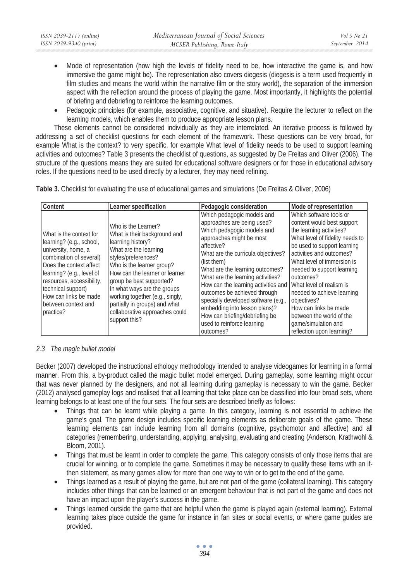| ISSN 2039-2117 (online) | Mediterranean Journal of Social Sciences | Vol 5 No 21    |
|-------------------------|------------------------------------------|----------------|
| ISSN 2039-9340 (print)  | MCSER Publishing, Rome-Italy             | September 2014 |
|                         |                                          |                |

- Mode of representation (how high the levels of fidelity need to be, how interactive the game is, and how immersive the game might be). The representation also covers diegesis (diegesis is a term used frequently in film studies and means the world within the narrative film or the story world), the separation of the immersion aspect with the reflection around the process of playing the game. Most importantly, it highlights the potential of briefing and debriefing to reinforce the learning outcomes.
- Pedagogic principles (for example, associative, cognitive, and situative). Require the lecturer to reflect on the learning models, which enables them to produce appropriate lesson plans.

These elements cannot be considered individually as they are interrelated. An iterative process is followed by addressing a set of checklist questions for each element of the framework. These questions can be very broad, for example What is the context? to very specific, for example What level of fidelity needs to be used to support learning activities and outcomes? Table 3 presents the checklist of questions, as suggested by De Freitas and Oliver (2006). The structure of the questions means they are suited for educational software designers or for those in educational advisory roles. If the questions need to be used directly by a lecturer, they may need refining.

| Content                                                                                                                                                                                                                                                                       | Learner specification                                                                                                                                                                                                                                                                                                                                                     | Pedagogic consideration                                                                                                                                                                                                                                                                                                                                                                                                                                                                   | Mode of representation                                                                                                                                                                                                                                                                                                                                                                                                                     |
|-------------------------------------------------------------------------------------------------------------------------------------------------------------------------------------------------------------------------------------------------------------------------------|---------------------------------------------------------------------------------------------------------------------------------------------------------------------------------------------------------------------------------------------------------------------------------------------------------------------------------------------------------------------------|-------------------------------------------------------------------------------------------------------------------------------------------------------------------------------------------------------------------------------------------------------------------------------------------------------------------------------------------------------------------------------------------------------------------------------------------------------------------------------------------|--------------------------------------------------------------------------------------------------------------------------------------------------------------------------------------------------------------------------------------------------------------------------------------------------------------------------------------------------------------------------------------------------------------------------------------------|
| What is the context for<br>learning? (e.g., school,<br>university, home, a<br>combination of several)<br>Does the context affect<br>learning? (e.g., level of<br>resources, accessibility,<br>technical support)<br>How can links be made<br>between context and<br>practice? | Who is the Learner?<br>What is their background and<br>learning history?<br>What are the learning<br>styles/preferences?<br>Who is the learner group?<br>How can the learner or learner<br>group be best supported?<br>In what ways are the groups<br>working together (e.g., singly,<br>partially in groups) and what<br>collaborative approaches could<br>support this? | Which pedagogic models and<br>approaches are being used?<br>Which pedagogic models and<br>approaches might be most<br>affective?<br>What are the curricula objectives?<br>(list them)<br>What are the learning outcomes?<br>What are the learning activities?<br>How can the learning activities and<br>outcomes be achieved through<br>specially developed software (e.g.,<br>embedding into lesson plans)?<br>How can briefing/debriefing be<br>used to reinforce learning<br>outcomes? | Which software tools or<br>content would best support<br>the learning activities?<br>What level of fidelity needs to<br>be used to support learning<br>activities and outcomes?<br>What level of immersion is<br>needed to support learning<br>outcomes?<br>What level of realism is<br>needed to achieve learning<br>objectives?<br>How can links be made<br>between the world of the<br>game/simulation and<br>reflection upon learning? |

**Table 3.** Checklist for evaluating the use of educational games and simulations (De Freitas & Oliver, 2006)

# *2.3 The magic bullet model*

Becker (2007) developed the instructional ethology methodology intended to analyse videogames for learning in a formal manner. From this, a by-product called the magic bullet model emerged. During gameplay, some learning might occur that was never planned by the designers, and not all learning during gameplay is necessary to win the game. Becker (2012) analysed gameplay logs and realised that all learning that take place can be classified into four broad sets, where learning belongs to at least one of the four sets. The four sets are described briefly as follows:

- Things that can be learnt while playing a game. In this category, learning is not essential to achieve the game's goal. The game design includes specific learning elements as deliberate goals of the game. These learning elements can include learning from all domains (cognitive, psychomotor and affective) and all categories (remembering, understanding, applying, analysing, evaluating and creating (Anderson, Krathwohl & Bloom, 2001).
- Things that must be learnt in order to complete the game. This category consists of only those items that are crucial for winning, or to complete the game. Sometimes it may be necessary to qualify these items with an ifthen statement, as many games allow for more than one way to win or to get to the end of the game.
- Things learned as a result of playing the game, but are not part of the game (collateral learning). This category includes other things that can be learned or an emergent behaviour that is not part of the game and does not have an impact upon the player's success in the game.
- Things learned outside the game that are helpful when the game is played again (external learning). External learning takes place outside the game for instance in fan sites or social events, or where game guides are provided.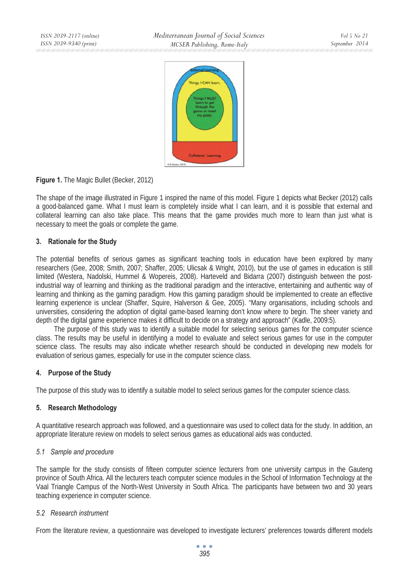

# **Figure 1.** The Magic Bullet (Becker, 2012)

The shape of the image illustrated in Figure 1 inspired the name of this model. Figure 1 depicts what Becker (2012) calls a good-balanced game. What I must learn is completely inside what I can learn, and it is possible that external and collateral learning can also take place. This means that the game provides much more to learn than just what is necessary to meet the goals or complete the game.

# **3. Rationale for the Study**

The potential benefits of serious games as significant teaching tools in education have been explored by many researchers (Gee, 2008; Smith, 2007; Shaffer, 2005; Ulicsak & Wright, 2010), but the use of games in education is still limited (Westera, Nadolski, Hummel & Wopereis, 2008). Harteveld and Bidarra (2007) distinguish between the postindustrial way of learning and thinking as the traditional paradigm and the interactive, entertaining and authentic way of learning and thinking as the gaming paradigm. How this gaming paradigm should be implemented to create an effective learning experience is unclear (Shaffer, Squire, Halverson & Gee, 2005). "Many organisations, including schools and universities, considering the adoption of digital game-based learning don't know where to begin. The sheer variety and depth of the digital game experience makes it difficult to decide on a strategy and approach" (Kadle, 2009:5).

The purpose of this study was to identify a suitable model for selecting serious games for the computer science class. The results may be useful in identifying a model to evaluate and select serious games for use in the computer science class. The results may also indicate whether research should be conducted in developing new models for evaluation of serious games, especially for use in the computer science class.

# **4. Purpose of the Study**

The purpose of this study was to identify a suitable model to select serious games for the computer science class.

# **5. Research Methodology**

A quantitative research approach was followed, and a questionnaire was used to collect data for the study. In addition, an appropriate literature review on models to select serious games as educational aids was conducted.

# *5.1 Sample and procedure*

The sample for the study consists of fifteen computer science lecturers from one university campus in the Gauteng province of South Africa. All the lecturers teach computer science modules in the School of Information Technology at the Vaal Triangle Campus of the North-West University in South Africa. The participants have between two and 30 years teaching experience in computer science.

# *5.2 Research instrument*

From the literature review, a questionnaire was developed to investigate lecturers' preferences towards different models

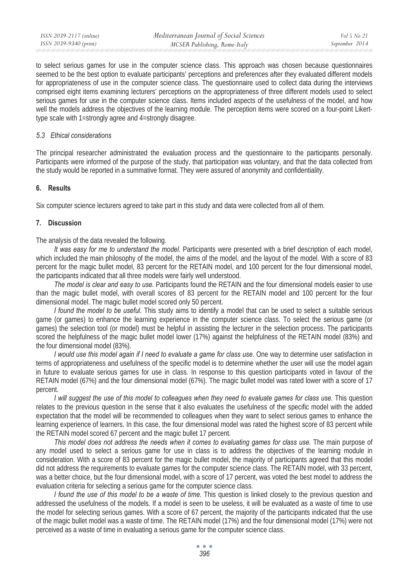| ISSN 2039-2117 (online) | Mediterranean Journal of Social Sciences | Vol 5 No 21    |
|-------------------------|------------------------------------------|----------------|
| ISSN 2039-9340 (print)  | MCSER Publishing, Rome-Italy             | September 2014 |

to select serious games for use in the computer science class. This approach was chosen because questionnaires seemed to be the best option to evaluate participants' perceptions and preferences after they evaluated different models for appropriateness of use in the computer science class. The questionnaire used to collect data during the interviews comprised eight items examining lecturers' perceptions on the appropriateness of three different models used to select serious games for use in the computer science class. Items included aspects of the usefulness of the model, and how well the models address the objectives of the learning module. The perception items were scored on a four-point Likerttype scale with 1=strongly agree and 4=strongly disagree.

#### *5.3 Ethical considerations*

The principal researcher administrated the evaluation process and the questionnaire to the participants personally. Participants were informed of the purpose of the study, that participation was voluntary, and that the data collected from the study would be reported in a summative format. They were assured of anonymity and confidentiality.

### **6. Results**

Six computer science lecturers agreed to take part in this study and data were collected from all of them.

### **7. Discussion**

The analysis of the data revealed the following.

*It was easy for me to understand the model.* Participants were presented with a brief description of each model, which included the main philosophy of the model, the aims of the model, and the layout of the model. With a score of 83 percent for the magic bullet model, 83 percent for the RETAIN model, and 100 percent for the four dimensional model, the participants indicated that all three models were fairly well understood.

*The model is clear and easy to use.* Participants found the RETAIN and the four dimensional models easier to use than the magic bullet model, with overall scores of 83 percent for the RETAIN model and 100 percent for the four dimensional model. The magic bullet model scored only 50 percent.

*I found the model to be useful.* This study aims to identify a model that can be used to select a suitable serious game (or games) to enhance the learning experience in the computer science class. To select the serious game (or games) the selection tool (or model) must be helpful in assisting the lecturer in the selection process. The participants scored the helpfulness of the magic bullet model lower (17%) against the helpfulness of the RETAIN model (83%) and the four dimensional model (83%).

*I* would use this model again if I need to evaluate a game for class use. One way to determine user satisfaction in terms of appropriateness and usefulness of the specific model is to determine whether the user will use the model again in future to evaluate serious games for use in class. In response to this question participants voted in favour of the RETAIN model (67%) and the four dimensional model (67%). The magic bullet model was rated lower with a score of 17 percent.

*I* will suggest the use of this model to colleagues when they need to evaluate games for class use. This question relates to the previous question in the sense that it also evaluates the usefulness of the specific model with the added expectation that the model will be recommended to colleagues when they want to select serious games to enhance the learning experience of learners. In this case, the four dimensional model was rated the highest score of 83 percent while the RETAIN model scored 67 percent and the magic bullet 17 percent.

*This model does not address the needs when it comes to evaluating games for class use.* The main purpose of any model used to select a serious game for use in class is to address the objectives of the learning module in consideration. With a score of 83 percent for the magic bullet model, the majority of participants agreed that this model did not address the requirements to evaluate games for the computer science class. The RETAIN model, with 33 percent, was a better choice, but the four dimensional model, with a score of 17 percent, was voted the best model to address the evaluation criteria for selecting a serious game for the computer science class.

*I found the use of this model to be a waste of time.* This question is linked closely to the previous question and addressed the usefulness of the models. If a model is seen to be useless, it will be evaluated as a waste of time to use the model for selecting serious games. With a score of 67 percent, the majority of the participants indicated that the use of the magic bullet model was a waste of time. The RETAIN model (17%) and the four dimensional model (17%) were not perceived as a waste of time in evaluating a serious game for the computer science class.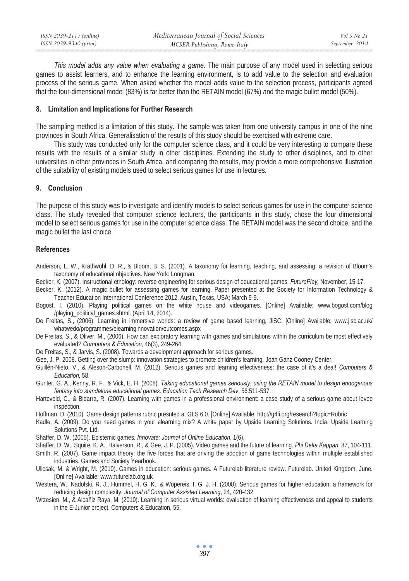| ISSN 2039-2117 (online) | Mediterranean Journal of Social Sciences | Vol 5 No 21    |
|-------------------------|------------------------------------------|----------------|
| ISSN 2039-9340 (print)  | MCSER Publishing, Rome-Italy             | September 2014 |
|                         |                                          |                |

*This model adds any value when evaluating a game.* The main purpose of any model used in selecting serious games to assist learners, and to enhance the learning environment, is to add value to the selection and evaluation process of the serious game. When asked whether the model adds value to the selection process, participants agreed that the four-dimensional model (83%) is far better than the RETAIN model (67%) and the magic bullet model (50%).

### **8. Limitation and Implications for Further Research**

The sampling method is a limitation of this study. The sample was taken from one university campus in one of the nine provinces in South Africa. Generalisation of the results of this study should be exercised with extreme care.

This study was conducted only for the computer science class, and it could be very interesting to compare these results with the results of a similar study in other disciplines. Extending the study to other disciplines, and to other universities in other provinces in South Africa, and comparing the results, may provide a more comprehensive illustration of the suitability of existing models used to select serious games for use in lectures.

### **9. Conclusion**

The purpose of this study was to investigate and identify models to select serious games for use in the computer science class. The study revealed that computer science lecturers, the participants in this study, chose the four dimensional model to select serious games for use in the computer science class. The RETAIN model was the second choice, and the magic bullet the last choice.

### **References**

- Anderson, L. W., Krathwohl, D. R., & Bloom, B. S. (2001). A taxonomy for learning, teaching, and assessing: a revision of Bloom's taxonomy of educational objectives. New York: Longman.
- Becker, K. (2007). Instructional ethology: reverse engineering for serious design of educational games. *FuturePlay,* November, 15-17.
- Becker, K. (2012). A magic bullet for assessing games for learning. Paper presented at the Society for Information Technology & Teacher Education International Conference 2012, Austin, Texas, USA; March 5-9.
- Bogost, I. (2010). Playing political games on the white house and videogames. [Online] Available: www.bogost.com/blog /playing\_political\_games.shtml. (April 14, 2014).
- De Freitas, S., (2006). Learning in immersive worlds: a review of game based learning, JiSC. [Online] Available: www.jisc.ac.uk/ whatwedo/programmes/elearninginnovation/outcomes.aspx
- De Freitas, S., & Oliver, M., (2006). How can exploratory learning with games and simulations within the curriculum be most effectively evaluated? *Computers & Education*, 46(3), 249-264.
- De Freitas, S., & Jarvis, S. (2008). Towards a development approach for serious games.
- Gee, J. P. 2008. Getting over the slump: innovation strategies to promote children's learning, Joan Ganz Cooney Center.
- Guillén-Nieto, V., & Aleson-Carbonell, M. (2012). Serious games and learning effectiveness: the case of it's a deal! *Computers & Education,* 58.
- Gunter, G. A., Kenny, R. F., & Vick, E. H. (2008). *Taking educational games seriously: using the RETAIN model to design endogenous fantasy into standalone educational games*. *Education Tech Research Dev*, 56:511-537.
- Harteveld, C., & Bidarra, R. (2007). Learning with games in a professional environment: a case study of a serious game about levee inspection.
- Hoffman, D. (2010). Game design patterns rubric presnted at GLS 6.0. [Online] Available: http://g4li.org/research?topic=Rubric
- Kadle, A. (2009). Do you need games in your elearning mix? A white paper by Upside Learning Solutions. India: Upside Learning Solutions Pvt. Ltd.
- Shaffer, D. W. (2005). Epistemic games. *Innovate: Journal of Online Education*, 1(6).
- Shaffer, D. W., Squire, K. A., Halverson, R., & Gee, J. P. (2005). Video games and the future of learning. *Phi Delta Kappan*, 87, 104-111.
- Smith, R. (2007). Game impact theory: the five forces that are driving the adoption of game technologies within multiple established industries. Games and Society Yearbook.
- Ulicsak, M. & Wright, M. (2010). Games in education: serious games. A Futurelab literature review. Futurelab. United Kingdom, June. [Online] Available: www.futurelab.org.uk
- Westera, W., Nadolski, R. J., Hummel, H. G. K., & Wopereis, I. G. J. H. (2008). Serious games for higher education: a framework for reducing design complexity. *Journal of Computer Assisted Learning*, 24, 420-432
- Wrzesien, M., & Alcañiz Raya, M. (2010). Learning in serious virtual worlds: evaluation of learning effectiveness and appeal to students in the E-Junior project. Computers & Education, 55.